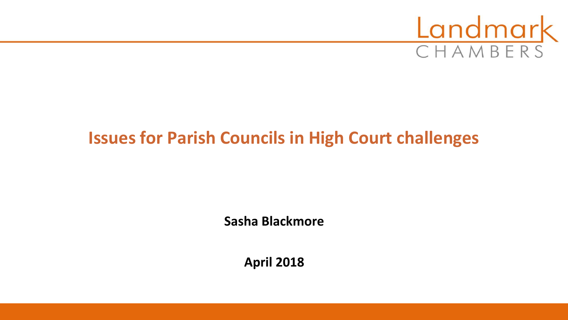

# **Issues for Parish Councils in High Court challenges**

**Sasha Blackmore**

**April 2018**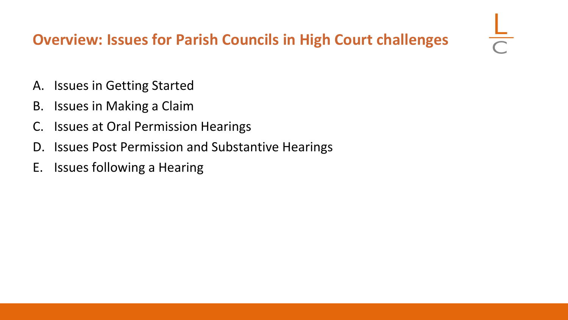## **Overview: Issues for Parish Councils in High Court challenges**

- A. Issues in Getting Started
- B. Issues in Making a Claim
- C. Issues at Oral Permission Hearings
- D. Issues Post Permission and Substantive Hearings
- E. Issues following a Hearing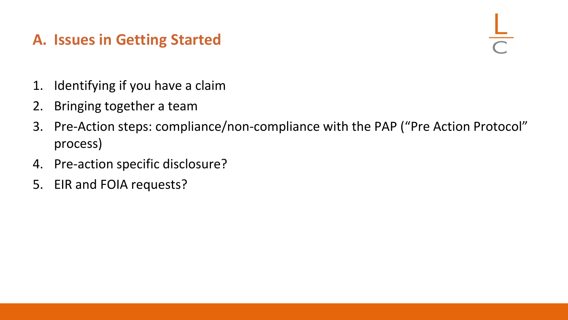### **A. Issues in Getting Started**

- 1. Identifying if you have a claim
- 2. Bringing together a team
- 3. Pre-Action steps: compliance/non-compliance with the PAP ("Pre Action Protocol" process)
- 4. Pre-action specific disclosure?
- 5. EIR and FOIA requests?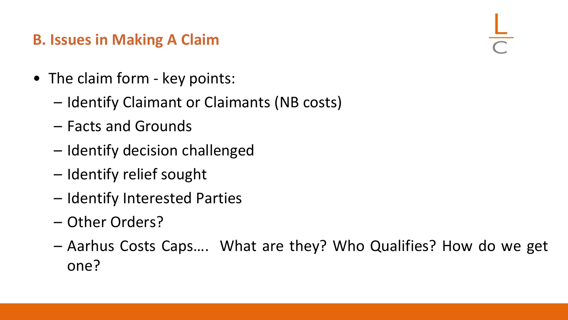### **B. Issues in Making A Claim**

- The claim form key points:
	- Identify Claimant or Claimants (NB costs)
	- Facts and Grounds
	- Identify decision challenged
	- Identify relief sought
	- Identify Interested Parties
	- Other Orders?
	- Aarhus Costs Caps…. What are they? Who Qualifies? How do we get one?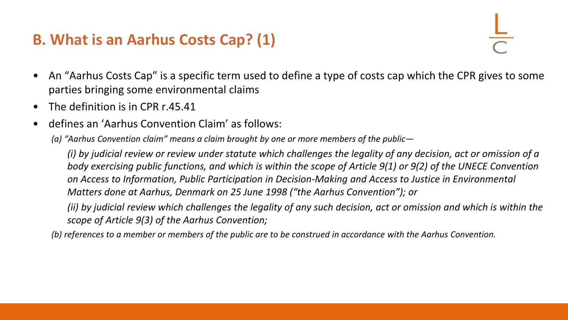### **B. What is an Aarhus Costs Cap? (1)**

- An "Aarhus Costs Cap" is a specific term used to define a type of costs cap which the CPR gives to some parties bringing some environmental claims
- The definition is in CPR r.45.41
- defines an 'Aarhus Convention Claim' as follows:
	- *(a) "Aarhus Convention claim" means a claim brought by one or more members of the public—*

*(i) by judicial review or review under statute which challenges the legality of any decision, act or omission of a body exercising public functions, and which is within the scope of Article 9(1) or 9(2) of the UNECE Convention on Access to Information, Public Participation in Decision-Making and Access to Justice in Environmental Matters done at Aarhus, Denmark on 25 June 1998 ("the Aarhus Convention"); or*

*(ii) by judicial review which challenges the legality of any such decision, act or omission and which is within the scope of Article 9(3) of the Aarhus Convention;*

*(b) references to a member or members of the public are to be construed in accordance with the Aarhus Convention.*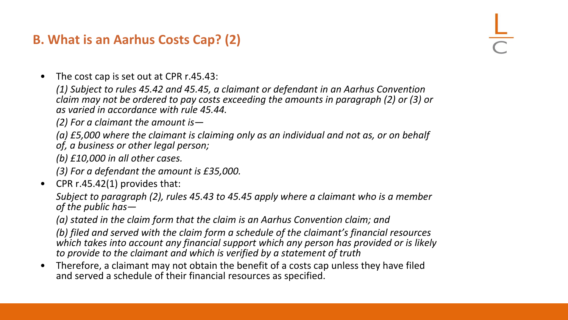### **B. What is an Aarhus Costs Cap? (2)**

• The cost cap is set out at CPR r.45.43:

*(1) Subject to rules 45.42 and 45.45, a claimant or defendant in an Aarhus Convention claim may not be ordered to pay costs exceeding the amounts in paragraph (2) or (3) or as varied in accordance with rule 45.44.*

*(2) For a claimant the amount is—*

*(a) £5,000 where the claimant is claiming only as an individual and not as, or on behalf of, a business or other legal person;*

*(b) £10,000 in all other cases.*

*(3) For a defendant the amount is £35,000.*

• CPR r.45.42(1) provides that:

*Subject to paragraph (2), rules 45.43 to 45.45 apply where a claimant who is a member of the public has—*

*(a) stated in the claim form that the claim is an Aarhus Convention claim; and*

*(b) filed and served with the claim form a schedule of the claimant's financial resources which takes into account any financial support which any person has provided or is likely to provide to the claimant and which is verified by a statement of truth*

• Therefore, a claimant may not obtain the benefit of a costs cap unless they have filed and served a schedule of their financial resources as specified.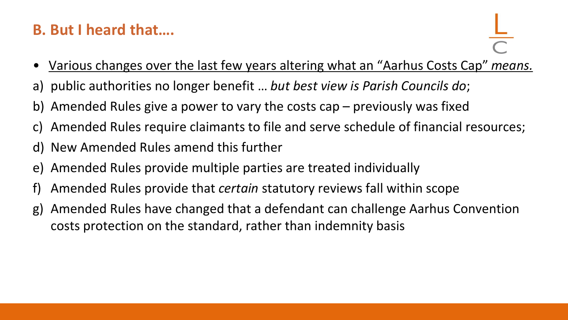### **B. But I heard that….**

- Various changes over the last few years altering what an "Aarhus Costs Cap" *means.*
- a) public authorities no longer benefit … *but best view is Parish Councils do*;
- b) Amended Rules give a power to vary the costs cap previously was fixed
- c) Amended Rules require claimants to file and serve schedule of financial resources;
- d) New Amended Rules amend this further
- e) Amended Rules provide multiple parties are treated individually
- f) Amended Rules provide that *certain* statutory reviews fall within scope
- g) Amended Rules have changed that a defendant can challenge Aarhus Convention costs protection on the standard, rather than indemnity basis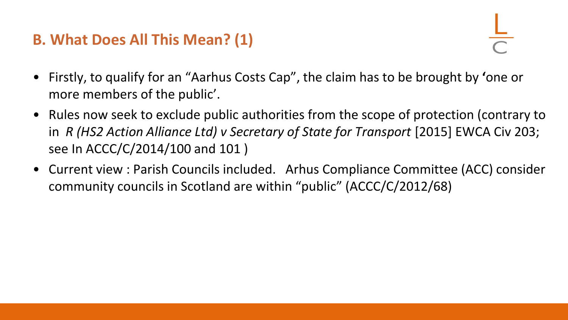### **B. What Does All This Mean? (1)**

- Firstly, to qualify for an "Aarhus Costs Cap", the claim has to be brought by **'**one or more members of the public'.
- Rules now seek to exclude public authorities from the scope of protection (contrary to in *R (HS2 Action Alliance Ltd) v Secretary of State for Transport* [2015] EWCA Civ 203; see In ACCC/C/2014/100 and 101 )
- Current view : Parish Councils included. Arhus Compliance Committee (ACC) consider community councils in Scotland are within "public" (ACCC/C/2012/68)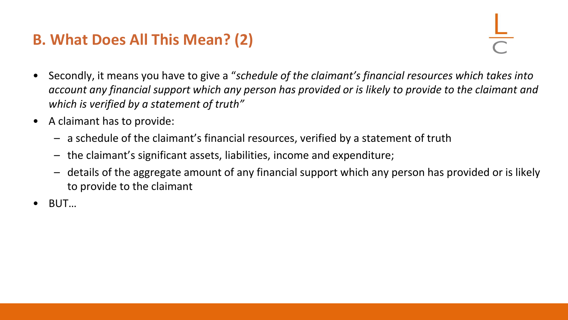### **B. What Does All This Mean? (2)**

- Secondly, it means you have to give a "*schedule of the claimant's financial resources which takes into account any financial support which any person has provided or is likely to provide to the claimant and which is verified by a statement of truth"*
- A claimant has to provide:
	- a schedule of the claimant's financial resources, verified by a statement of truth
	- the claimant's significant assets, liabilities, income and expenditure;
	- details of the aggregate amount of any financial support which any person has provided or is likely to provide to the claimant
- BUT…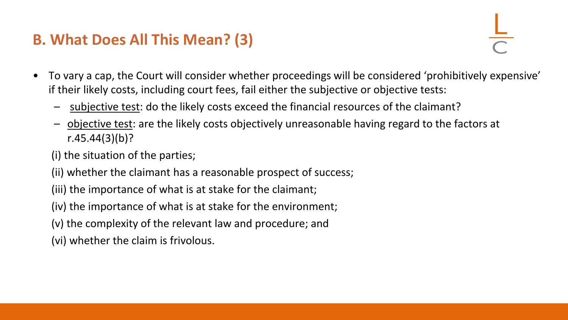### **B. What Does All This Mean? (3)**

- To vary a cap, the Court will consider whether proceedings will be considered 'prohibitively expensive' if their likely costs, including court fees, fail either the subjective or objective tests:
	- subjective test: do the likely costs exceed the financial resources of the claimant?
	- objective test: are the likely costs objectively unreasonable having regard to the factors at r.45.44(3)(b)?
	- (i) the situation of the parties;
	- (ii) whether the claimant has a reasonable prospect of success;
	- (iii) the importance of what is at stake for the claimant;
	- (iv) the importance of what is at stake for the environment;
	- (v) the complexity of the relevant law and procedure; and
	- (vi) whether the claim is frivolous.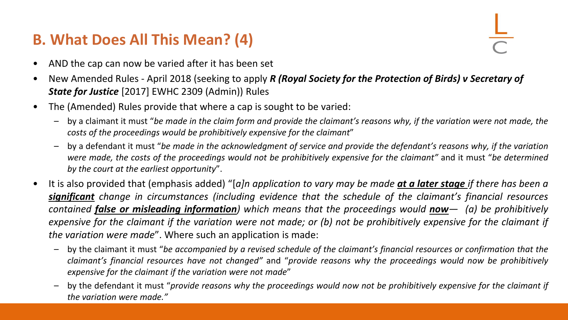### **B. What Does All This Mean? (4)**

- AND the cap can now be varied after it has been set
- New Amended Rules April 2018 (seeking to apply *R (Royal Society for the Protection of Birds) v Secretary of State for Justice* [2017] EWHC 2309 (Admin)) Rules
- The (Amended) Rules provide that where a cap is sought to be varied:
	- by a claimant it must "be made in the claim form and provide the claimant's reasons why, if the variation were not made, the *costs of the proceedings would be prohibitively expensive for the claimant*"
	- by a defendant it must "be made in the acknowledgment of service and provide the defendant's reasons why, if the variation were made, the costs of the proceedings would not be prohibitively expensive for the claimant" and it must "be determined *by the court at the earliest opportunity*".
- It is also provided that (emphasis added) "[a]n application to vary may be made at a later stage if there has been a *significant change in circumstances (including evidence that the schedule of the claimant's financial resources* contained **false or misleading information**) which means that the proceedings would **now**  $\rightarrow$  (a) be prohibitively expensive for the claimant if the variation were not made; or (b) not be prohibitively expensive for the claimant if *the variation were made*". Where such an application is made:
	- by the claimant it must "be accompanied by a revised schedule of the claimant's financial resources or confirmation that the *claimant's financial resources have not changed"* and "*provide reasons why the proceedings would now be prohibitively expensive for the claimant if the variation were not made*"
	- by the defendant it must "provide reasons why the proceedings would now not be prohibitively expensive for the claimant if *the variation were made."*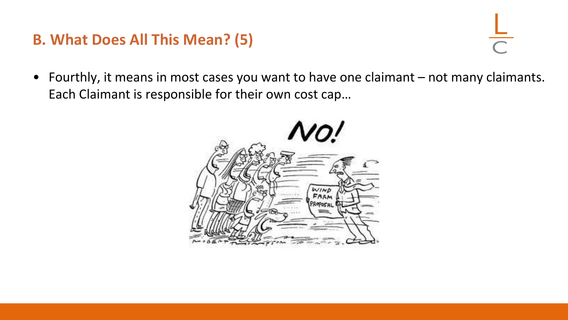### **B. What Does All This Mean? (5)**

- 
- Fourthly, it means in most cases you want to have one claimant not many claimants. Each Claimant is responsible for their own cost cap…

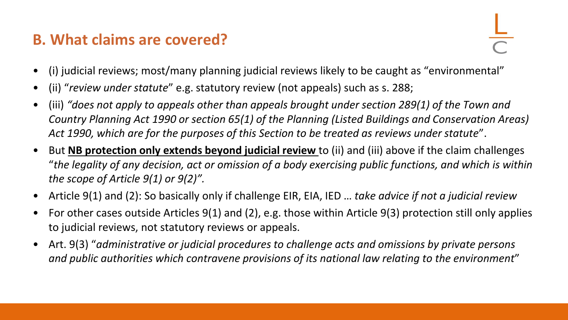### **B. What claims are covered?**

- (i) judicial reviews; most/many planning judicial reviews likely to be caught as "environmental"
- (ii) "*review under statute*" e.g. statutory review (not appeals) such as s. 288;
- (iii) *"does not apply to appeals other than appeals brought under section 289(1) of the Town and Country Planning Act 1990 or section 65(1) of the Planning (Listed Buildings and Conservation Areas) Act 1990, which are for the purposes of this Section to be treated as reviews under statute*".
- But **NB protection only extends beyond judicial review** to (ii) and (iii) above if the claim challenges "*the legality of any decision, act or omission of a body exercising public functions, and which is within the scope of Article 9(1) or 9(2)".*
- Article 9(1) and (2): So basically only if challenge EIR, EIA, IED … *take advice if not a judicial review*
- For other cases outside Articles 9(1) and (2), e.g. those within Article 9(3) protection still only applies to judicial reviews, not statutory reviews or appeals.
- Art. 9(3) "*administrative or judicial procedures to challenge acts and omissions by private persons and public authorities which contravene provisions of its national law relating to the environment*"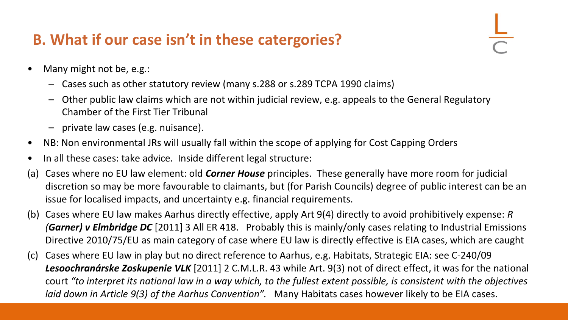## **B. What if our case isn't in these catergories?**

- Many might not be, e.g.:
	- Cases such as other statutory review (many s.288 or s.289 TCPA 1990 claims)
	- Other public law claims which are not within judicial review, e.g. appeals to the General Regulatory Chamber of the First Tier Tribunal
	- private law cases (e.g. nuisance).
- NB: Non environmental JRs will usually fall within the scope of applying for Cost Capping Orders
- In all these cases: take advice. Inside different legal structure:
- (a) Cases where no EU law element: old *Corner House* principles. These generally have more room for judicial discretion so may be more favourable to claimants, but (for Parish Councils) degree of public interest can be an issue for localised impacts, and uncertainty e.g. financial requirements.
- (b) Cases where EU law makes Aarhus directly effective, apply Art 9(4) directly to avoid prohibitively expense: *R (Garner) v Elmbridge DC* [2011] 3 All ER 418. Probably this is mainly/only cases relating to Industrial Emissions Directive 2010/75/EU as main category of case where EU law is directly effective is EIA cases, which are caught
- (c) Cases where EU law in play but no direct reference to Aarhus, e.g. Habitats, Strategic EIA: see C-240/09 *Lesoochranárske Zoskupenie VLK* [2011] 2 C.M.L.R. 43 while Art. 9(3) not of direct effect, it was for the national court *"to interpret its national law in a way which, to the fullest extent possible, is consistent with the objectives laid down in Article 9(3) of the Aarhus Convention".* Many Habitats cases however likely to be EIA cases.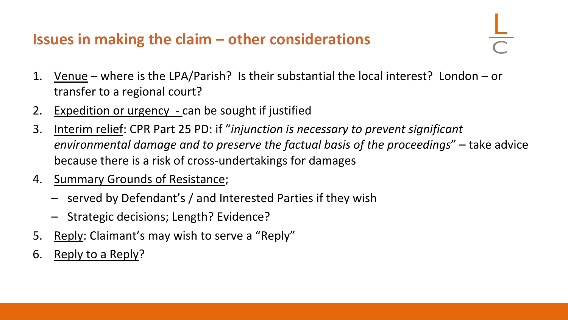### **Issues in making the claim – other considerations**

- 1. Venue where is the LPA/Parish? Is their substantial the local interest? London or transfer to a regional court?
- 2. Expedition or urgency can be sought if justified
- 3. Interim relief: CPR Part 25 PD: if "*injunction is necessary to prevent significant environmental damage and to preserve the factual basis of the proceedings*" – take advice because there is a risk of cross-undertakings for damages
- 4. Summary Grounds of Resistance;
	- served by Defendant's / and Interested Parties if they wish
	- Strategic decisions; Length? Evidence?
- 5. Reply: Claimant's may wish to serve a "Reply"
- 6. Reply to a Reply?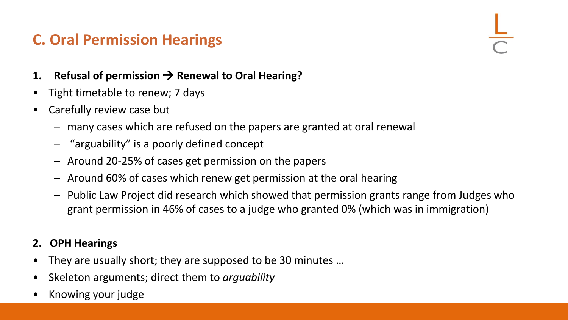### **C. Oral Permission Hearings**

- **1. Refusal of permission** → **Renewal to Oral Hearing?**
- Tight timetable to renew; 7 days
- Carefully review case but
	- many cases which are refused on the papers are granted at oral renewal
	- "arguability" is a poorly defined concept
	- Around 20-25% of cases get permission on the papers
	- Around 60% of cases which renew get permission at the oral hearing
	- Public Law Project did research which showed that permission grants range from Judges who grant permission in 46% of cases to a judge who granted 0% (which was in immigration)

### **2. OPH Hearings**

- They are usually short; they are supposed to be 30 minutes …
- Skeleton arguments; direct them to *arguability*
- Knowing your judge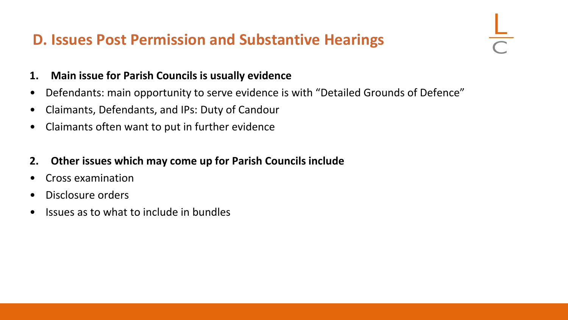### **D. Issues Post Permission and Substantive Hearings**

- **1. Main issue for Parish Councils is usually evidence**
- Defendants: main opportunity to serve evidence is with "Detailed Grounds of Defence"
- Claimants, Defendants, and IPs: Duty of Candour
- Claimants often want to put in further evidence
- **2. Other issues which may come up for Parish Councils include**
- Cross examination
- Disclosure orders
- Issues as to what to include in bundles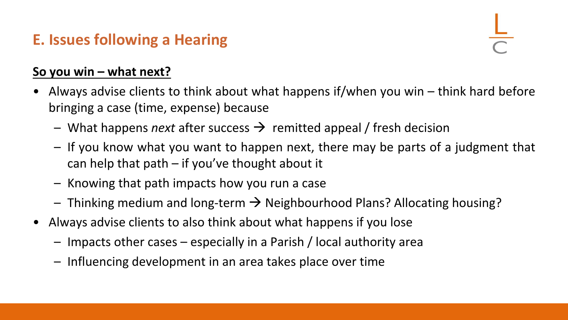## **E. Issues following a Hearing**

### **So you win – what next?**

- Always advise clients to think about what happens if/when you win think hard before bringing a case (time, expense) because
	- What happens *next* after success → remitted appeal / fresh decision
	- If you know what you want to happen next, there may be parts of a judgment that can help that path  $-$  if you've thought about it
	- Knowing that path impacts how you run a case
	- $-$  Thinking medium and long-term  $\rightarrow$  Neighbourhood Plans? Allocating housing?
- Always advise clients to also think about what happens if you lose
	- Impacts other cases especially in a Parish / local authority area
	- Influencing development in an area takes place over time